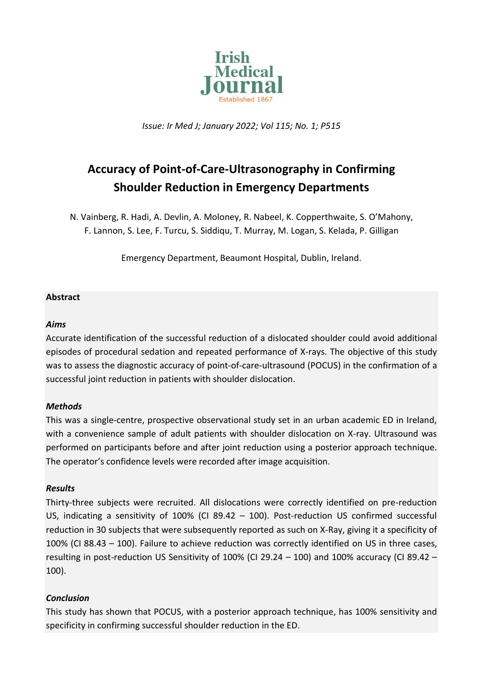

*Issue: Ir Med J; January 2022; Vol 115; No. 1; P515*

# **Accuracy of Point-of-Care-Ultrasonography in Confirming Shoulder Reduction in Emergency Departments**

N. Vainberg, R. Hadi, A. Devlin, A. Moloney, R. Nabeel, K. Copperthwaite, S. O'Mahony, F. Lannon, S. Lee, F. Turcu, S. Siddiqu, T. Murray, M. Logan, S. Kelada, P. Gilligan

Emergency Department, Beaumont Hospital, Dublin, Ireland.

# **Abstract**

# *Aims*

Accurate identification of the successful reduction of a dislocated shoulder could avoid additional episodes of procedural sedation and repeated performance of X-rays. The objective of this study was to assess the diagnostic accuracy of point-of-care-ultrasound (POCUS) in the confirmation of a successful joint reduction in patients with shoulder dislocation.

# *Methods*

This was a single-centre, prospective observational study set in an urban academic ED in Ireland, with a convenience sample of adult patients with shoulder dislocation on X-ray. Ultrasound was performed on participants before and after joint reduction using a posterior approach technique. The operator's confidence levels were recorded after image acquisition.

#### *Results*

Thirty-three subjects were recruited. All dislocations were correctly identified on pre-reduction US, indicating a sensitivity of 100% (CI 89.42 – 100). Post-reduction US confirmed successful reduction in 30 subjects that were subsequently reported as such on X-Ray, giving it a specificity of 100% (CI 88.43 – 100). Failure to achieve reduction was correctly identified on US in three cases, resulting in post-reduction US Sensitivity of 100% (CI 29.24 – 100) and 100% accuracy (CI 89.42 – 100).

# *Conclusion*

This study has shown that POCUS, with a posterior approach technique, has 100% sensitivity and specificity in confirming successful shoulder reduction in the ED.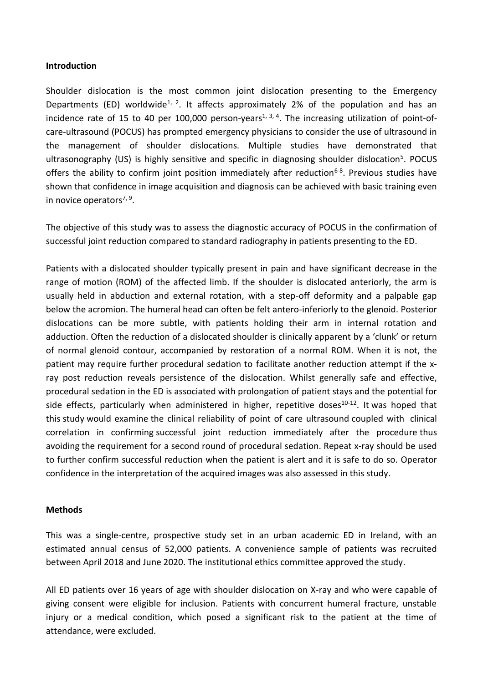#### **Introduction**

Shoulder dislocation is the most common joint dislocation presenting to the Emergency Departments (ED) worldwide<sup>1, 2</sup>. It affects approximately 2% of the population and has an incidence rate of 15 to 40 per 100,000 person-years<sup>1, 3, 4</sup>. The increasing utilization of point-ofcare-ultrasound (POCUS) has prompted emergency physicians to consider the use of ultrasound in the management of shoulder dislocations. Multiple studies have demonstrated that ultrasonography (US) is highly sensitive and specific in diagnosing shoulder dislocation<sup>5</sup>. POCUS offers the ability to confirm joint position immediately after reduction<sup>6-8</sup>. Previous studies have shown that confidence in image acquisition and diagnosis can be achieved with basic training even in novice operators<sup>7, 9</sup>.

The objective of this study was to assess the diagnostic accuracy of POCUS in the confirmation of successful joint reduction compared to standard radiography in patients presenting to the ED.

Patients with a dislocated shoulder typically present in pain and have significant decrease in the range of motion (ROM) of the affected limb. If the shoulder is dislocated anteriorly, the arm is usually held in abduction and external rotation, with a step-off deformity and a palpable gap below the acromion. The humeral head can often be felt antero-inferiorly to the glenoid. Posterior dislocations can be more subtle, with patients holding their arm in internal rotation and adduction. Often the reduction of a dislocated shoulder is clinically apparent by a 'clunk' or return of normal glenoid contour, accompanied by restoration of a normal ROM. When it is not, the patient may require further procedural sedation to facilitate another reduction attempt if the xray post reduction reveals persistence of the dislocation. Whilst generally safe and effective, procedural sedation in the ED is associated with prolongation of patient stays and the potential for side effects, particularly when administered in higher, repetitive doses<sup>10-12</sup>. It was hoped that this study would examine the clinical reliability of point of care ultrasound coupled with clinical correlation in confirming successful joint reduction immediately after the procedure thus avoiding the requirement for a second round of procedural sedation. Repeat x-ray should be used to further confirm successful reduction when the patient is alert and it is safe to do so. Operator confidence in the interpretation of the acquired images was also assessed in this study.

#### **Methods**

This was a single-centre, prospective study set in an urban academic ED in Ireland, with an estimated annual census of 52,000 patients. A convenience sample of patients was recruited between April 2018 and June 2020. The institutional ethics committee approved the study.

All ED patients over 16 years of age with shoulder dislocation on X-ray and who were capable of giving consent were eligible for inclusion. Patients with concurrent humeral fracture, unstable injury or a medical condition, which posed a significant risk to the patient at the time of attendance, were excluded.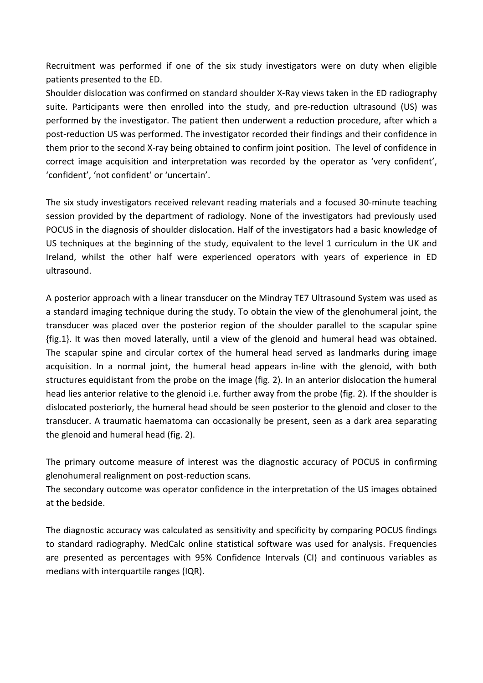Recruitment was performed if one of the six study investigators were on duty when eligible patients presented to the ED.

Shoulder dislocation was confirmed on standard shoulder X-Ray views taken in the ED radiography suite. Participants were then enrolled into the study, and pre-reduction ultrasound (US) was performed by the investigator. The patient then underwent a reduction procedure, after which a post-reduction US was performed. The investigator recorded their findings and their confidence in them prior to the second X-ray being obtained to confirm joint position. The level of confidence in correct image acquisition and interpretation was recorded by the operator as 'very confident', 'confident', 'not confident' or 'uncertain'.

The six study investigators received relevant reading materials and a focused 30-minute teaching session provided by the department of radiology. None of the investigators had previously used POCUS in the diagnosis of shoulder dislocation. Half of the investigators had a basic knowledge of US techniques at the beginning of the study, equivalent to the level 1 curriculum in the UK and Ireland, whilst the other half were experienced operators with years of experience in ED ultrasound.

A posterior approach with a linear transducer on the Mindray TE7 Ultrasound System was used as a standard imaging technique during the study. To obtain the view of the glenohumeral joint, the transducer was placed over the posterior region of the shoulder parallel to the scapular spine {fig.1}. It was then moved laterally, until a view of the glenoid and humeral head was obtained. The scapular spine and circular cortex of the humeral head served as landmarks during image acquisition. In a normal joint, the humeral head appears in-line with the glenoid, with both structures equidistant from the probe on the image (fig. 2). In an anterior dislocation the humeral head lies anterior relative to the glenoid i.e. further away from the probe (fig. 2). If the shoulder is dislocated posteriorly, the humeral head should be seen posterior to the glenoid and closer to the transducer. A traumatic haematoma can occasionally be present, seen as a dark area separating the glenoid and humeral head (fig. 2).

The primary outcome measure of interest was the diagnostic accuracy of POCUS in confirming glenohumeral realignment on post-reduction scans.

The secondary outcome was operator confidence in the interpretation of the US images obtained at the bedside.

The diagnostic accuracy was calculated as sensitivity and specificity by comparing POCUS findings to standard radiography. MedCalc online statistical software was used for analysis. Frequencies are presented as percentages with 95% Confidence Intervals (CI) and continuous variables as medians with interquartile ranges (IQR).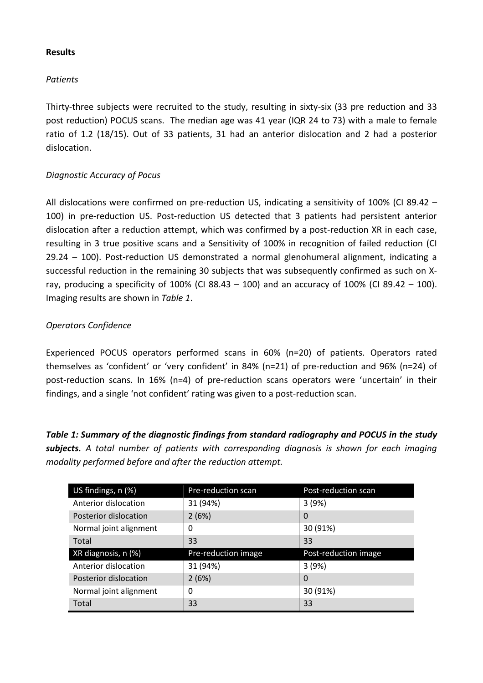#### **Results**

# *Patients*

Thirty-three subjects were recruited to the study, resulting in sixty-six (33 pre reduction and 33 post reduction) POCUS scans. The median age was 41 year (IQR 24 to 73) with a male to female ratio of 1.2 (18/15). Out of 33 patients, 31 had an anterior dislocation and 2 had a posterior dislocation.

# *Diagnostic Accuracy of Pocus*

All dislocations were confirmed on pre-reduction US, indicating a sensitivity of 100% (CI 89.42 – 100) in pre-reduction US. Post-reduction US detected that 3 patients had persistent anterior dislocation after a reduction attempt, which was confirmed by a post-reduction XR in each case, resulting in 3 true positive scans and a Sensitivity of 100% in recognition of failed reduction (CI 29.24 – 100). Post-reduction US demonstrated a normal glenohumeral alignment, indicating a successful reduction in the remaining 30 subjects that was subsequently confirmed as such on Xray, producing a specificity of 100% (CI 88.43 – 100) and an accuracy of 100% (CI 89.42 – 100). Imaging results are shown in *Table 1*.

# *Operators Confidence*

Experienced POCUS operators performed scans in 60% (n=20) of patients. Operators rated themselves as 'confident' or 'very confident' in 84% (n=21) of pre-reduction and 96% (n=24) of post-reduction scans. In 16% (n=4) of pre-reduction scans operators were 'uncertain' in their findings, and a single 'not confident' rating was given to a post-reduction scan.

*Table 1: Summary of the diagnostic findings from standard radiography and POCUS in the study subjects. A total number of patients with corresponding diagnosis is shown for each imaging modality performed before and after the reduction attempt.*

| US findings, n (%)     | Pre-reduction scan  | Post-reduction scan  |
|------------------------|---------------------|----------------------|
| Anterior dislocation   | 31 (94%)            | 3(9%)                |
| Posterior dislocation  | 2(6%)               | 0                    |
| Normal joint alignment | 0                   | 30 (91%)             |
| Total                  | 33                  | 33                   |
| XR diagnosis, n (%)    | Pre-reduction image | Post-reduction image |
| Anterior dislocation   | 31 (94%)            | 3(9%)                |
| Posterior dislocation  | 2(6%)               | 0                    |
| Normal joint alignment | 0                   | 30 (91%)             |
| Total                  | 33                  | 33                   |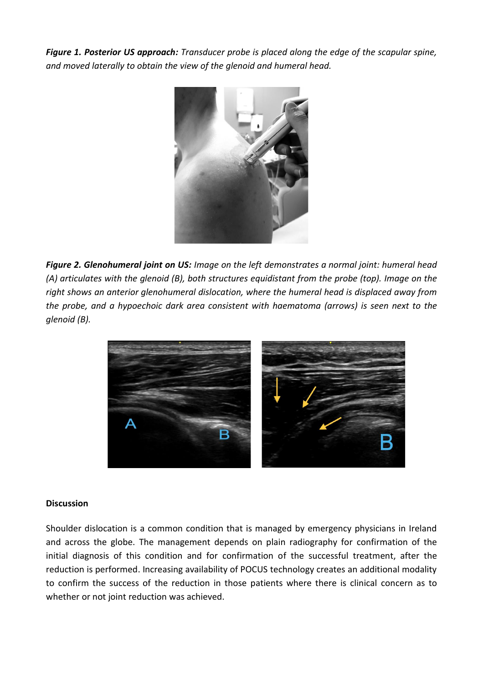*Figure 1. Posterior US approach: Transducer probe is placed along the edge of the scapular spine, and moved laterally to obtain the view of the glenoid and humeral head.* 



*Figure 2. Glenohumeral joint on US: Image on the left demonstrates a normal joint: humeral head (A) articulates with the glenoid (B), both structures equidistant from the probe (top). Image on the right shows an anterior glenohumeral dislocation, where the humeral head is displaced away from the probe, and a hypoechoic dark area consistent with haematoma (arrows) is seen next to the glenoid (B).* 



#### **Discussion**

Shoulder dislocation is a common condition that is managed by emergency physicians in Ireland and across the globe. The management depends on plain radiography for confirmation of the initial diagnosis of this condition and for confirmation of the successful treatment, after the reduction is performed. Increasing availability of POCUS technology creates an additional modality to confirm the success of the reduction in those patients where there is clinical concern as to whether or not joint reduction was achieved.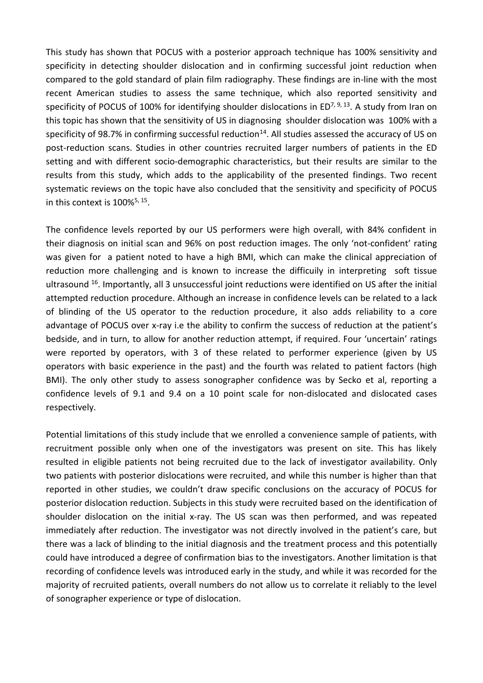This study has shown that POCUS with a posterior approach technique has 100% sensitivity and specificity in detecting shoulder dislocation and in confirming successful joint reduction when compared to the gold standard of plain film radiography. These findings are in-line with the most recent American studies to assess the same technique, which also reported sensitivity and specificity of POCUS of 100% for identifying shoulder dislocations in ED<sup>7, 9, 13</sup>. A study from Iran on this topic has shown that the sensitivity of US in diagnosing shoulder dislocation was 100% with a specificity of 98.7% in confirming successful reduction<sup>14</sup>. All studies assessed the accuracy of US on post-reduction scans. Studies in other countries recruited larger numbers of patients in the ED setting and with different socio-demographic characteristics, but their results are similar to the results from this study, which adds to the applicability of the presented findings. Two recent systematic reviews on the topic have also concluded that the sensitivity and specificity of POCUS in this context is  $100\%^{5, 15}$ .

The confidence levels reported by our US performers were high overall, with 84% confident in their diagnosis on initial scan and 96% on post reduction images. The only 'not-confident' rating was given for a patient noted to have a high BMI, which can make the clinical appreciation of reduction more challenging and is known to increase the difficuily in interpreting soft tissue ultrasound <sup>16</sup>. Importantly, all 3 unsuccessful joint reductions were identified on US after the initial attempted reduction procedure. Although an increase in confidence levels can be related to a lack of blinding of the US operator to the reduction procedure, it also adds reliability to a core advantage of POCUS over x-ray i.e the ability to confirm the success of reduction at the patient's bedside, and in turn, to allow for another reduction attempt, if required. Four 'uncertain' ratings were reported by operators, with 3 of these related to performer experience (given by US operators with basic experience in the past) and the fourth was related to patient factors (high BMI). The only other study to assess sonographer confidence was by Secko et al, reporting a confidence levels of 9.1 and 9.4 on a 10 point scale for non-dislocated and dislocated cases respectively.

Potential limitations of this study include that we enrolled a convenience sample of patients, with recruitment possible only when one of the investigators was present on site. This has likely resulted in eligible patients not being recruited due to the lack of investigator availability. Only two patients with posterior dislocations were recruited, and while this number is higher than that reported in other studies, we couldn't draw specific conclusions on the accuracy of POCUS for posterior dislocation reduction. Subjects in this study were recruited based on the identification of shoulder dislocation on the initial x-ray. The US scan was then performed, and was repeated immediately after reduction. The investigator was not directly involved in the patient's care, but there was a lack of blinding to the initial diagnosis and the treatment process and this potentially could have introduced a degree of confirmation bias to the investigators. Another limitation is that recording of confidence levels was introduced early in the study, and while it was recorded for the majority of recruited patients, overall numbers do not allow us to correlate it reliably to the level of sonographer experience or type of dislocation.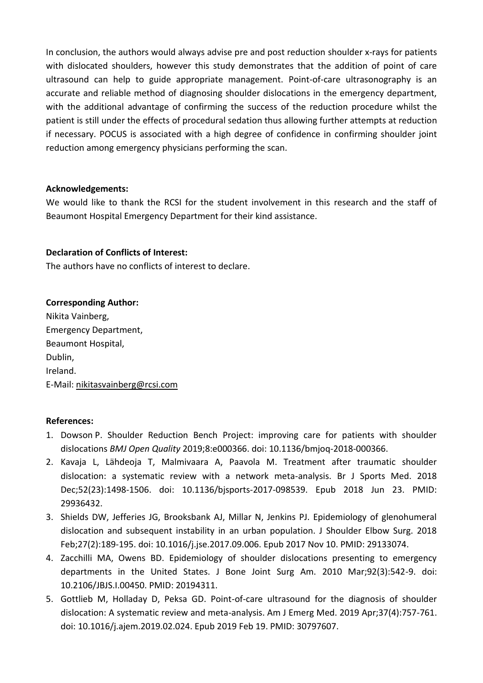In conclusion, the authors would always advise pre and post reduction shoulder x-rays for patients with dislocated shoulders, however this study demonstrates that the addition of point of care ultrasound can help to guide appropriate management. Point-of-care ultrasonography is an accurate and reliable method of diagnosing shoulder dislocations in the emergency department, with the additional advantage of confirming the success of the reduction procedure whilst the patient is still under the effects of procedural sedation thus allowing further attempts at reduction if necessary. POCUS is associated with a high degree of confidence in confirming shoulder joint reduction among emergency physicians performing the scan.

#### **Acknowledgements:**

We would like to thank the RCSI for the student involvement in this research and the staff of Beaumont Hospital Emergency Department for their kind assistance.

#### **Declaration of Conflicts of Interest:**

The authors have no conflicts of interest to declare.

# **Corresponding Author:**

Nikita Vainberg, Emergency Department, Beaumont Hospital, Dublin, Ireland. E-Mail[: nikitasvainberg@rcsi.com](mailto:nikitasvainberg@rcsi.com) 

# **References:**

- 1. Dowson P. Shoulder Reduction Bench Project: improving care for patients with shoulder dislocations *BMJ Open Quality* 2019;8:e000366. doi: 10.1136/bmjoq-2018-000366.
- 2. Kavaja L, Lähdeoja T, Malmivaara A, Paavola M. Treatment after traumatic shoulder dislocation: a systematic review with a network meta-analysis. Br J Sports Med. 2018 Dec;52(23):1498-1506. doi: 10.1136/bjsports-2017-098539. Epub 2018 Jun 23. PMID: 29936432.
- 3. Shields DW, Jefferies JG, Brooksbank AJ, Millar N, Jenkins PJ. Epidemiology of glenohumeral dislocation and subsequent instability in an urban population. J Shoulder Elbow Surg. 2018 Feb;27(2):189-195. doi: 10.1016/j.jse.2017.09.006. Epub 2017 Nov 10. PMID: 29133074.
- 4. Zacchilli MA, Owens BD. Epidemiology of shoulder dislocations presenting to emergency departments in the United States. J Bone Joint Surg Am. 2010 Mar;92(3):542-9. doi: 10.2106/JBJS.I.00450. PMID: 20194311.
- 5. Gottlieb M, Holladay D, Peksa GD. Point-of-care ultrasound for the diagnosis of shoulder dislocation: A systematic review and meta-analysis. Am J Emerg Med. 2019 Apr;37(4):757-761. doi: 10.1016/j.ajem.2019.02.024. Epub 2019 Feb 19. PMID: 30797607.